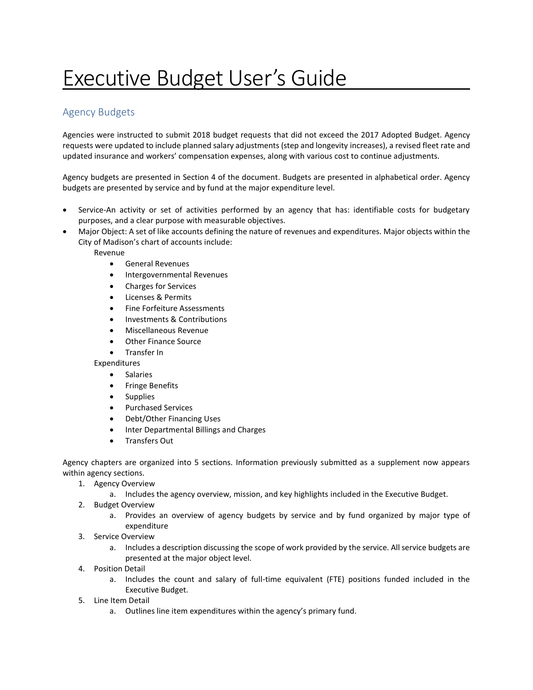# Executive Budget User's Guide

## Agency Budgets

Agencies were instructed to submit 2018 budget requests that did not exceed the 2017 Adopted Budget. Agency requests were updated to include planned salary adjustments (step and longevity increases), a revised fleet rate and updated insurance and workers' compensation expenses, along with various cost to continue adjustments.

Agency budgets are presented in Section 4 of the document. Budgets are presented in alphabetical order. Agency budgets are presented by service and by fund at the major expenditure level.

- Service-An activity or set of activities performed by an agency that has: identifiable costs for budgetary purposes, and a clear purpose with measurable objectives.
- Major Object: A set of like accounts defining the nature of revenues and expenditures. Major objects within the City of Madison's chart of accounts include:

Revenue

- General Revenues
- Intergovernmental Revenues
- Charges for Services
- Licenses & Permits
- Fine Forfeiture Assessments
- Investments & Contributions
- Miscellaneous Revenue
- Other Finance Source
- Transfer In

Expenditures

- **•** Salaries
- **•** Fringe Benefits
- Supplies
- Purchased Services
- Debt/Other Financing Uses
- Inter Departmental Billings and Charges
- Transfers Out

Agency chapters are organized into 5 sections. Information previously submitted as a supplement now appears within agency sections.

- 1. Agency Overview
	- a. Includes the agency overview, mission, and key highlights included in the Executive Budget.
- 2. Budget Overview
	- a. Provides an overview of agency budgets by service and by fund organized by major type of expenditure
- 3. Service Overview
	- a. Includes a description discussing the scope of work provided by the service. All service budgets are presented at the major object level.
- 4. Position Detail
	- a. Includes the count and salary of full-time equivalent (FTE) positions funded included in the Executive Budget.
- 5. Line Item Detail
	- a. Outlines line item expenditures within the agency's primary fund.